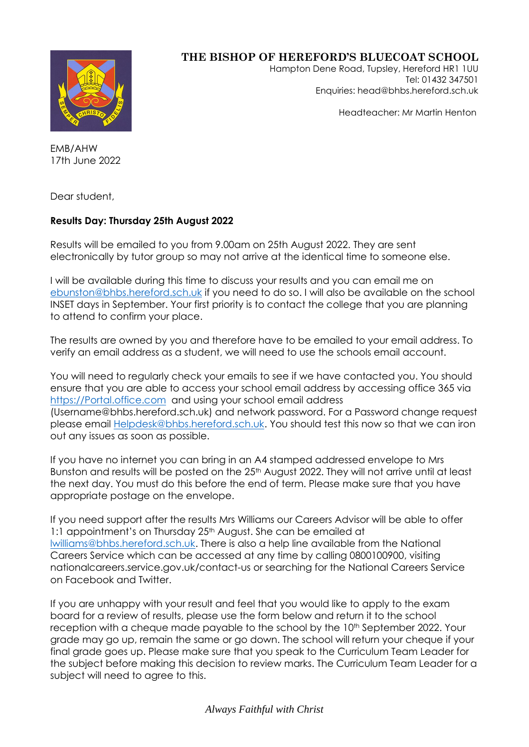

## **THE BISHOP OF HEREFORD'S BLUECOAT SCHOOL**

Hampton Dene Road, Tupsley, Hereford HR1 1UU Tel: 01432 347501 Enquiries: head@bhbs.hereford.sch.uk

Headteacher: Mr Martin Henton

EMB/AHW 17th June 2022

Dear student,

## **Results Day: Thursday 25th August 2022**

Results will be emailed to you from 9.00am on 25th August 2022. They are sent electronically by tutor group so may not arrive at the identical time to someone else.

I will be available during this time to discuss your results and you can email me on [ebunston@bhbs.hereford.sch.uk](mailto:ebunston@bhbs.hereford.sch.uk) if you need to do so. I will also be available on the school INSET days in September. Your first priority is to contact the college that you are planning to attend to confirm your place.

The results are owned by you and therefore have to be emailed to your email address. To verify an email address as a student, we will need to use the schools email account.

You will need to regularly check your emails to see if we have contacted you. You should ensure that you are able to access your school email address by accessing office 365 via [https://Portal.office.com](https://portal.office.com/) and using your school email address (Username@bhbs.hereford.sch.uk) and network password. For a Password change request please email [Helpdesk@bhbs.hereford.sch.uk.](mailto:Helpdesk@bhbs.hereford.sch.uk) You should test this now so that we can iron out any issues as soon as possible.

If you have no internet you can bring in an A4 stamped addressed envelope to Mrs Bunston and results will be posted on the 25<sup>th</sup> August 2022. They will not arrive until at least the next day. You must do this before the end of term. Please make sure that you have appropriate postage on the envelope.

If you need support after the results Mrs Williams our Careers Advisor will be able to offer 1:1 appointment's on Thursday 25<sup>th</sup> August. She can be emailed at [lwilliams@bhbs.hereford.sch.uk.](mailto:lwilliams@bhbs.hereford.sch.uk) There is also a help line available from the National Careers Service which can be accessed at any time by calling 0800100900, visiting nationalcareers.service.gov.uk/contact-us or searching for the National Careers Service on Facebook and Twitter.

If you are unhappy with your result and feel that you would like to apply to the exam board for a review of results, please use the form below and return it to the school reception with a cheque made payable to the school by the 10<sup>th</sup> September 2022. Your grade may go up, remain the same or go down. The school will return your cheque if your final grade goes up. Please make sure that you speak to the Curriculum Team Leader for the subject before making this decision to review marks. The Curriculum Team Leader for a subject will need to agree to this.

## *Always Faithful with Christ*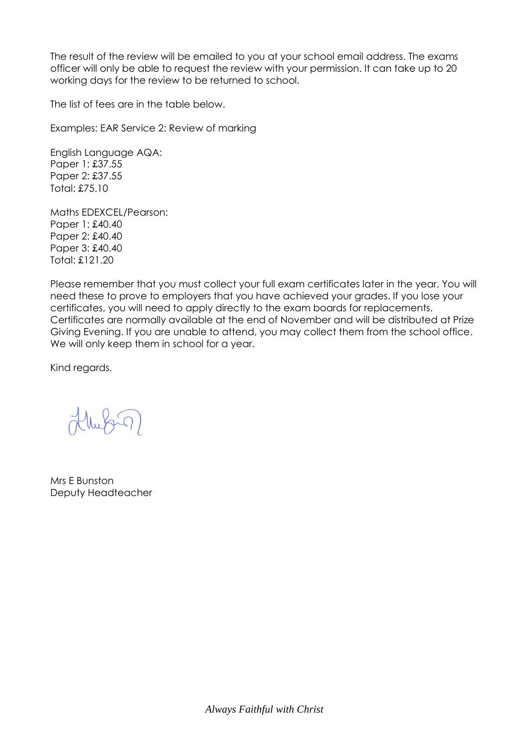The result of the review will be emailed to you at your school email address. The exams officer will only be able to request the review with your permission. It can take up to 20 working days for the review to be returned to school.

The list of fees are in the table below.

Examples: EAR Service 2: Review of marking

English Language AQA: Paper 1: £37.55 Paper 2: £37.55 Total: £75.10

Maths EDEXCEL/Pearson: Paper 1: £40.40 Paper 2: £40.40 Paper 3: £40.40 Total: £121.20

Please remember that you must collect your full exam certificates later in the year. You will need these to prove to employers that you have achieved your grades. If you lose your certificates, you will need to apply directly to the exam boards for replacements. Certificates are normally available at the end of November and will be distributed at Prize Giving Evening. If you are unable to attend, you may collect them from the school office. We will only keep them in school for a year.

Kind regards,

Mrs E Bunston Deputy Headteacher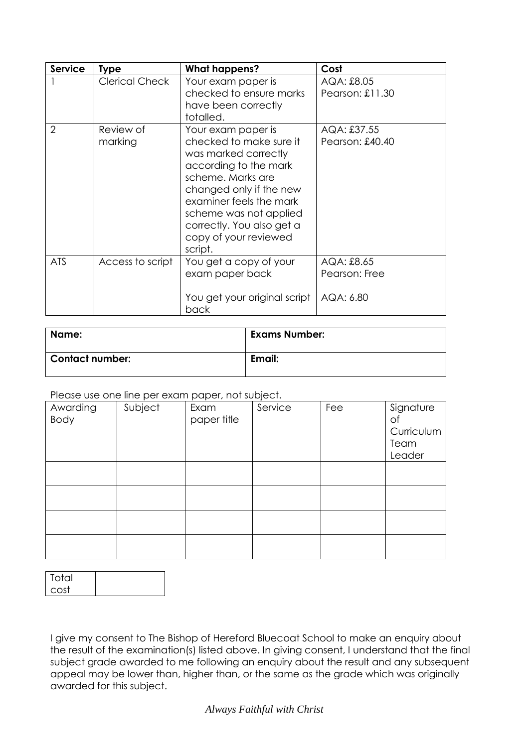| <b>Service</b> | <b>Type</b>           | <b>What happens?</b>                                                                                                                                                                                                                                                 | Cost                                     |  |
|----------------|-----------------------|----------------------------------------------------------------------------------------------------------------------------------------------------------------------------------------------------------------------------------------------------------------------|------------------------------------------|--|
|                | <b>Clerical Check</b> | Your exam paper is<br>checked to ensure marks<br>have been correctly<br>totalled.                                                                                                                                                                                    | AQA: £8.05<br>Pearson: £11.30            |  |
| 2              | Review of<br>marking  | Your exam paper is<br>checked to make sure it<br>was marked correctly<br>according to the mark<br>scheme. Marks are<br>changed only if the new<br>examiner feels the mark<br>scheme was not applied<br>correctly. You also get a<br>copy of your reviewed<br>script. | AQA: £37.55<br>Pearson: £40.40           |  |
| <b>ATS</b>     | Access to script      | You get a copy of your<br>exam paper back<br>You get your original script<br>back                                                                                                                                                                                    | AQA: £8.65<br>Pearson: Free<br>AQA: 6.80 |  |

| Name:                  | <b>Exams Number:</b> |
|------------------------|----------------------|
| <b>Contact number:</b> | Email:               |

Please use one line per exam paper, not subject.

| Awarding<br>Body | Subject | $\sim$ $\sim$ $\sim$<br>Exam<br>paper title | Service | Fee | Signature<br>Οf<br>Curriculum<br>Team<br>Leader |
|------------------|---------|---------------------------------------------|---------|-----|-------------------------------------------------|
|                  |         |                                             |         |     |                                                 |
|                  |         |                                             |         |     |                                                 |
|                  |         |                                             |         |     |                                                 |
|                  |         |                                             |         |     |                                                 |

| Total |  |
|-------|--|
| cost  |  |

I give my consent to The Bishop of Hereford Bluecoat School to make an enquiry about the result of the examination(s) listed above. In giving consent, I understand that the final subject grade awarded to me following an enquiry about the result and any subsequent appeal may be lower than, higher than, or the same as the grade which was originally awarded for this subject.